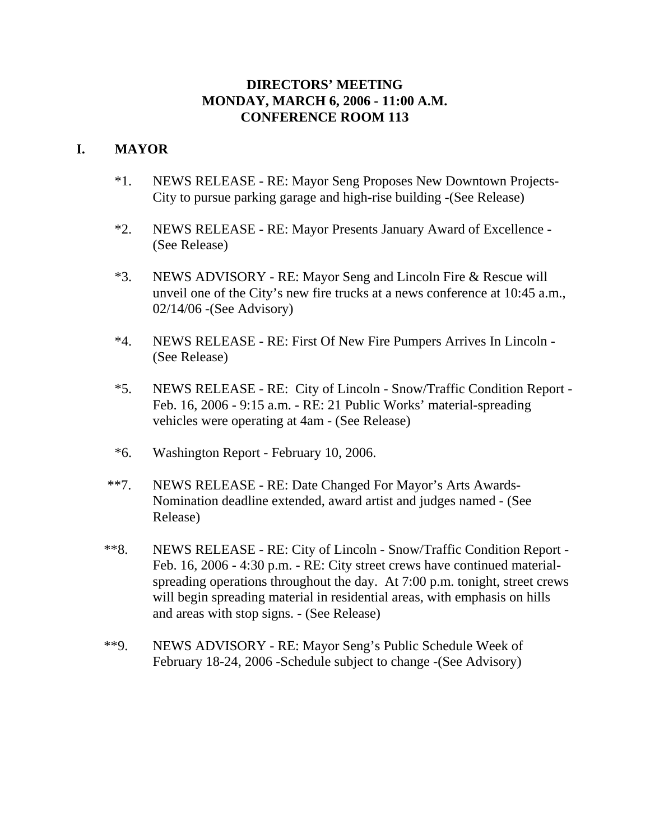#### **DIRECTORS' MEETING MONDAY, MARCH 6, 2006 - 11:00 A.M. CONFERENCE ROOM 113**

### **I. MAYOR**

- \*1. NEWS RELEASE RE: Mayor Seng Proposes New Downtown Projects- City to pursue parking garage and high-rise building -(See Release)
- \*2. NEWS RELEASE RE: Mayor Presents January Award of Excellence (See Release)
- \*3. NEWS ADVISORY RE: Mayor Seng and Lincoln Fire & Rescue will unveil one of the City's new fire trucks at a news conference at 10:45 a.m., 02/14/06 -(See Advisory)
- \*4. NEWS RELEASE RE: First Of New Fire Pumpers Arrives In Lincoln (See Release)
- \*5. NEWS RELEASE RE: City of Lincoln Snow/Traffic Condition Report Feb. 16, 2006 - 9:15 a.m. - RE: 21 Public Works' material-spreading vehicles were operating at 4am - (See Release)
- \*6. Washington Report February 10, 2006.
- \*\*7. NEWS RELEASE RE: Date Changed For Mayor's Arts Awards-Nomination deadline extended, award artist and judges named - (See Release)
- \*\*8. NEWS RELEASE RE: City of Lincoln Snow/Traffic Condition Report Feb. 16, 2006 - 4:30 p.m. - RE: City street crews have continued materialspreading operations throughout the day. At 7:00 p.m. tonight, street crews will begin spreading material in residential areas, with emphasis on hills and areas with stop signs. - (See Release)
- \*\*9. NEWS ADVISORY RE: Mayor Seng's Public Schedule Week of February 18-24, 2006 -Schedule subject to change -(See Advisory)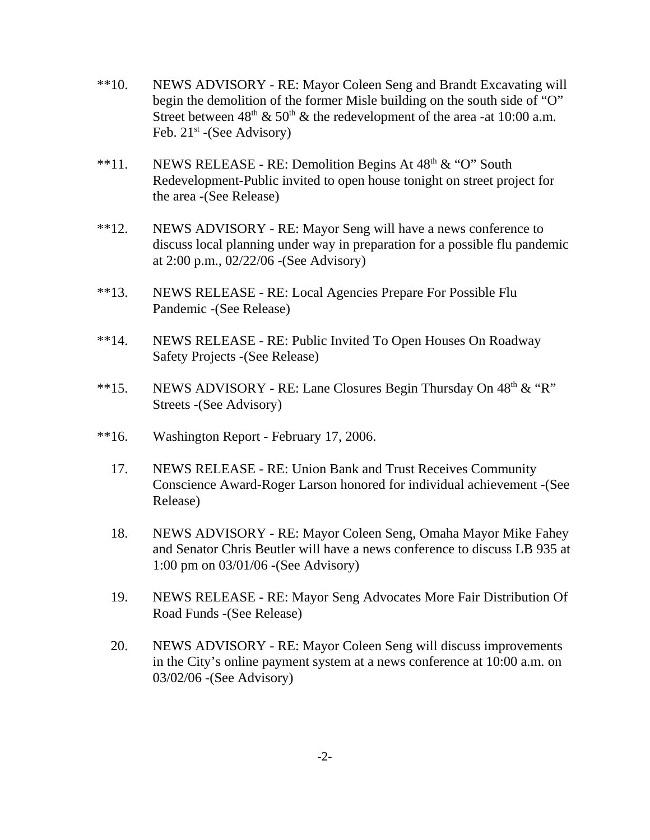- \*\*10. NEWS ADVISORY RE: Mayor Coleen Seng and Brandt Excavating will begin the demolition of the former Misle building on the south side of "O" Street between  $48<sup>th</sup>$  & 50<sup>th</sup> & the redevelopment of the area -at 10:00 a.m. Feb.  $21^{st}$  -(See Advisory)
- \*\*11. NEWS RELEASE RE: Demolition Begins At  $48<sup>th</sup> \& ^\circ$  "O" South Redevelopment-Public invited to open house tonight on street project for the area -(See Release)
- \*\*12. NEWS ADVISORY RE: Mayor Seng will have a news conference to discuss local planning under way in preparation for a possible flu pandemic at 2:00 p.m., 02/22/06 -(See Advisory)
- \*\*13. NEWS RELEASE RE: Local Agencies Prepare For Possible Flu Pandemic -(See Release)
- \*\*14. NEWS RELEASE RE: Public Invited To Open Houses On Roadway Safety Projects -(See Release)
- \*\*15. NEWS ADVISORY RE: Lane Closures Begin Thursday On  $48<sup>th</sup> \& ^{\circ}$ "R" Streets -(See Advisory)
- \*\*16. Washington Report February 17, 2006.
	- 17. NEWS RELEASE RE: Union Bank and Trust Receives Community Conscience Award-Roger Larson honored for individual achievement -(See Release)
	- 18. NEWS ADVISORY RE: Mayor Coleen Seng, Omaha Mayor Mike Fahey and Senator Chris Beutler will have a news conference to discuss LB 935 at 1:00 pm on 03/01/06 -(See Advisory)
	- 19. NEWS RELEASE RE: Mayor Seng Advocates More Fair Distribution Of Road Funds -(See Release)
	- 20. NEWS ADVISORY RE: Mayor Coleen Seng will discuss improvements in the City's online payment system at a news conference at 10:00 a.m. on 03/02/06 -(See Advisory)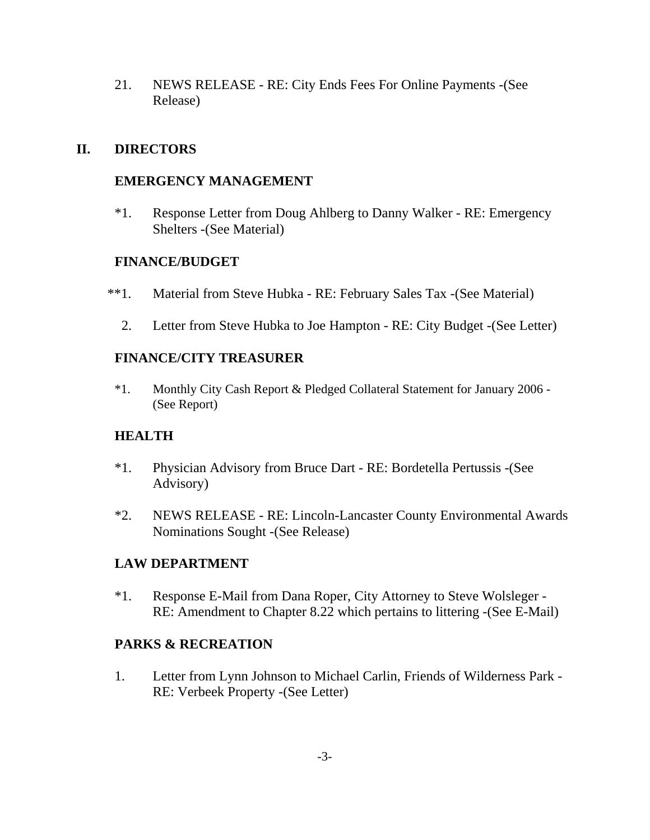21. NEWS RELEASE - RE: City Ends Fees For Online Payments -(See Release)

# **II. DIRECTORS**

### **EMERGENCY MANAGEMENT**

\*1. Response Letter from Doug Ahlberg to Danny Walker - RE: Emergency Shelters -(See Material)

# **FINANCE/BUDGET**

- \*\*1. Material from Steve Hubka RE: February Sales Tax -(See Material)
	- 2. Letter from Steve Hubka to Joe Hampton RE: City Budget -(See Letter)

# **FINANCE/CITY TREASURER**

\*1. Monthly City Cash Report & Pledged Collateral Statement for January 2006 - (See Report)

# **HEALTH**

- \*1. Physician Advisory from Bruce Dart RE: Bordetella Pertussis -(See Advisory)
- \*2. NEWS RELEASE RE: Lincoln-Lancaster County Environmental Awards Nominations Sought -(See Release)

# **LAW DEPARTMENT**

\*1. Response E-Mail from Dana Roper, City Attorney to Steve Wolsleger - RE: Amendment to Chapter 8.22 which pertains to littering -(See E-Mail)

# **PARKS & RECREATION**

1. Letter from Lynn Johnson to Michael Carlin, Friends of Wilderness Park - RE: Verbeek Property -(See Letter)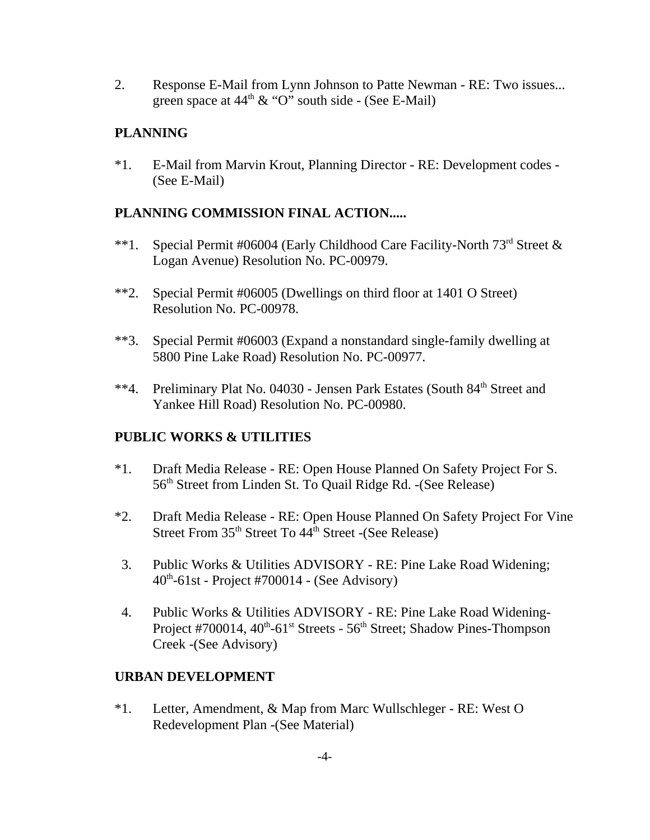2. Response E-Mail from Lynn Johnson to Patte Newman - RE: Two issues... green space at  $44<sup>th</sup> \& ^\circ$  "O" south side - (See E-Mail)

# **PLANNING**

\*1. E-Mail from Marvin Krout, Planning Director - RE: Development codes - (See E-Mail)

# **PLANNING COMMISSION FINAL ACTION.....**

- \*\*1. Special Permit #06004 (Early Childhood Care Facility-North 73rd Street & Logan Avenue) Resolution No. PC-00979.
- \*\*2. Special Permit #06005 (Dwellings on third floor at 1401 O Street) Resolution No. PC-00978.
- \*\*3. Special Permit #06003 (Expand a nonstandard single-family dwelling at 5800 Pine Lake Road) Resolution No. PC-00977.
- \*\*4. Preliminary Plat No. 04030 Jensen Park Estates (South 84<sup>th</sup> Street and Yankee Hill Road) Resolution No. PC-00980.

### **PUBLIC WORKS & UTILITIES**

- \*1. Draft Media Release RE: Open House Planned On Safety Project For S. 56th Street from Linden St. To Quail Ridge Rd. -(See Release)
- \*2. Draft Media Release RE: Open House Planned On Safety Project For Vine Street From  $35<sup>th</sup>$  Street To  $44<sup>th</sup>$  Street -(See Release)
- 3. Public Works & Utilities ADVISORY RE: Pine Lake Road Widening; 40th-61st - Project #700014 - (See Advisory)
- 4. Public Works & Utilities ADVISORY RE: Pine Lake Road Widening-Project #700014, 40<sup>th</sup>-61<sup>st</sup> Streets - 56<sup>th</sup> Street; Shadow Pines-Thompson Creek -(See Advisory)

# **URBAN DEVELOPMENT**

\*1. Letter, Amendment, & Map from Marc Wullschleger - RE: West O Redevelopment Plan -(See Material)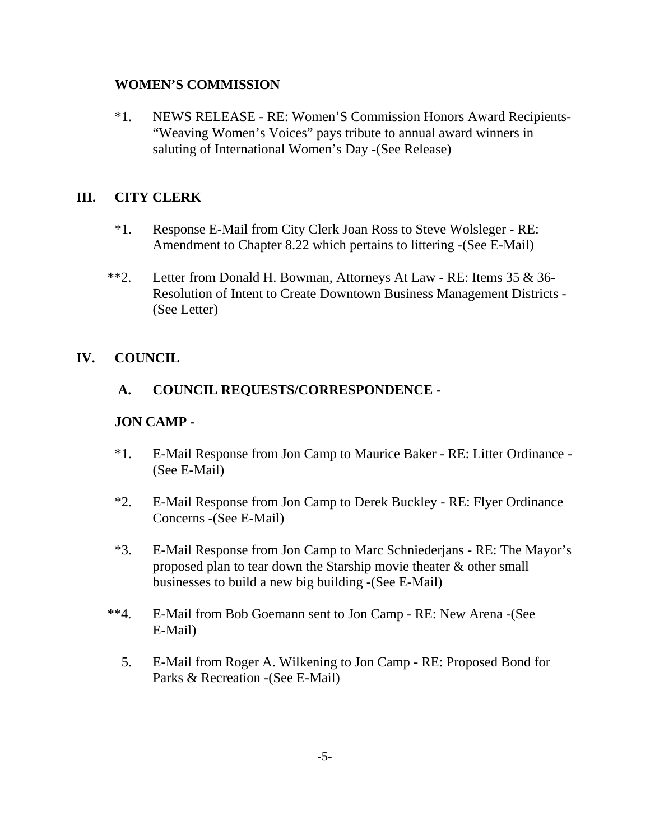### **WOMEN'S COMMISSION**

\*1. NEWS RELEASE - RE: Women'S Commission Honors Award Recipients- "Weaving Women's Voices" pays tribute to annual award winners in saluting of International Women's Day -(See Release)

# **III. CITY CLERK**

- \*1. Response E-Mail from City Clerk Joan Ross to Steve Wolsleger RE: Amendment to Chapter 8.22 which pertains to littering -(See E-Mail)
- \*\*2. Letter from Donald H. Bowman, Attorneys At Law RE: Items 35 & 36- Resolution of Intent to Create Downtown Business Management Districts - (See Letter)

### **IV. COUNCIL**

### **A. COUNCIL REQUESTS/CORRESPONDENCE -**

### **JON CAMP -**

- \*1. E-Mail Response from Jon Camp to Maurice Baker RE: Litter Ordinance (See E-Mail)
- \*2. E-Mail Response from Jon Camp to Derek Buckley RE: Flyer Ordinance Concerns -(See E-Mail)
- \*3. E-Mail Response from Jon Camp to Marc Schniederjans RE: The Mayor's proposed plan to tear down the Starship movie theater & other small businesses to build a new big building -(See E-Mail)
- \*\*4. E-Mail from Bob Goemann sent to Jon Camp RE: New Arena -(See E-Mail)
	- 5. E-Mail from Roger A. Wilkening to Jon Camp RE: Proposed Bond for Parks & Recreation -(See E-Mail)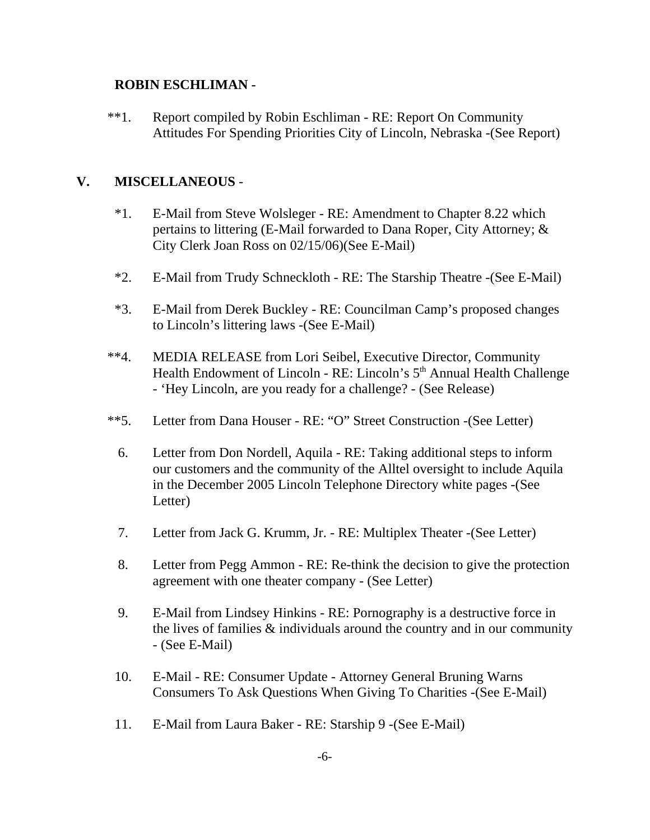#### **ROBIN ESCHLIMAN -**

\*\*1. Report compiled by Robin Eschliman - RE: Report On Community Attitudes For Spending Priorities City of Lincoln, Nebraska -(See Report)

# **V. MISCELLANEOUS** -

- \*1. E-Mail from Steve Wolsleger RE: Amendment to Chapter 8.22 which pertains to littering (E-Mail forwarded to Dana Roper, City Attorney; & City Clerk Joan Ross on 02/15/06)(See E-Mail)
- \*2. E-Mail from Trudy Schneckloth RE: The Starship Theatre -(See E-Mail)
- \*3. E-Mail from Derek Buckley RE: Councilman Camp's proposed changes to Lincoln's littering laws -(See E-Mail)
- \*\*4. MEDIA RELEASE from Lori Seibel, Executive Director, Community Health Endowment of Lincoln - RE: Lincoln's 5<sup>th</sup> Annual Health Challenge - 'Hey Lincoln, are you ready for a challenge? - (See Release)
- \*\*5. Letter from Dana Houser RE: "O" Street Construction -(See Letter)
	- 6. Letter from Don Nordell, Aquila RE: Taking additional steps to inform our customers and the community of the Alltel oversight to include Aquila in the December 2005 Lincoln Telephone Directory white pages -(See Letter)
	- 7. Letter from Jack G. Krumm, Jr. RE: Multiplex Theater -(See Letter)
	- 8. Letter from Pegg Ammon RE: Re-think the decision to give the protection agreement with one theater company - (See Letter)
	- 9. E-Mail from Lindsey Hinkins RE: Pornography is a destructive force in the lives of families  $\&$  individuals around the country and in our community - (See E-Mail)
- 10. E-Mail RE: Consumer Update Attorney General Bruning Warns Consumers To Ask Questions When Giving To Charities -(See E-Mail)
- 11. E-Mail from Laura Baker RE: Starship 9 -(See E-Mail)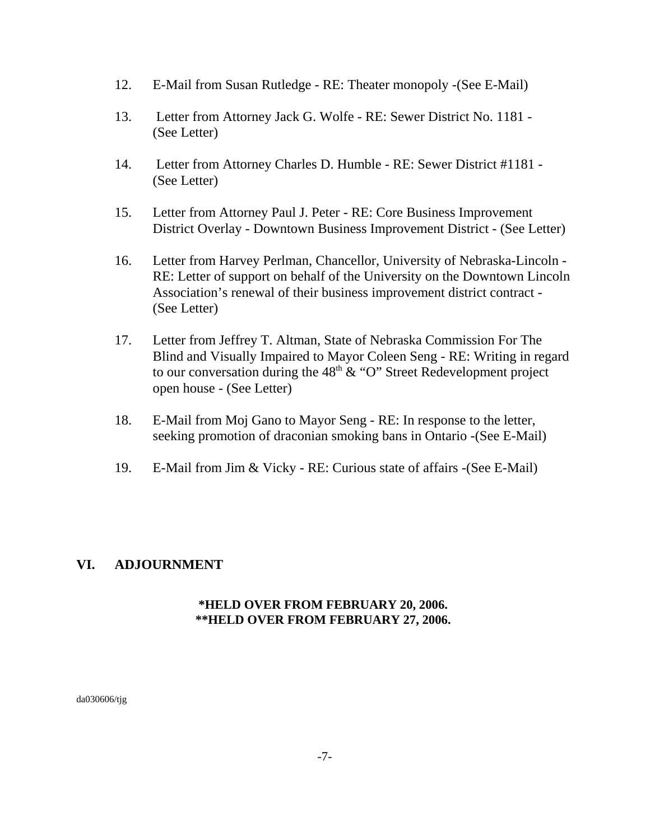- 12. E-Mail from Susan Rutledge RE: Theater monopoly -(See E-Mail)
- 13. Letter from Attorney Jack G. Wolfe RE: Sewer District No. 1181 (See Letter)
- 14. Letter from Attorney Charles D. Humble RE: Sewer District #1181 (See Letter)
- 15. Letter from Attorney Paul J. Peter RE: Core Business Improvement District Overlay - Downtown Business Improvement District - (See Letter)
- 16. Letter from Harvey Perlman, Chancellor, University of Nebraska-Lincoln RE: Letter of support on behalf of the University on the Downtown Lincoln Association's renewal of their business improvement district contract - (See Letter)
- 17. Letter from Jeffrey T. Altman, State of Nebraska Commission For The Blind and Visually Impaired to Mayor Coleen Seng - RE: Writing in regard to our conversation during the  $48<sup>th</sup>$  & "O" Street Redevelopment project open house - (See Letter)
- 18. E-Mail from Moj Gano to Mayor Seng RE: In response to the letter, seeking promotion of draconian smoking bans in Ontario -(See E-Mail)
- 19. E-Mail from Jim & Vicky RE: Curious state of affairs -(See E-Mail)

#### **VI. ADJOURNMENT**

#### **\*HELD OVER FROM FEBRUARY 20, 2006. \*\*HELD OVER FROM FEBRUARY 27, 2006.**

da030606/tjg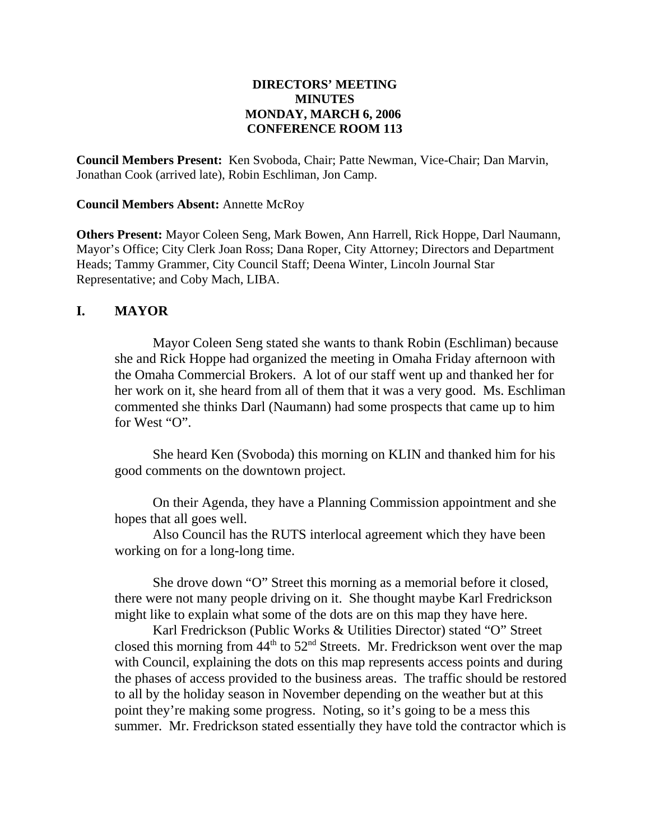#### **DIRECTORS' MEETING MINUTES MONDAY, MARCH 6, 2006 CONFERENCE ROOM 113**

**Council Members Present:** Ken Svoboda, Chair; Patte Newman, Vice-Chair; Dan Marvin, Jonathan Cook (arrived late), Robin Eschliman, Jon Camp.

#### **Council Members Absent:** Annette McRoy

**Others Present:** Mayor Coleen Seng, Mark Bowen, Ann Harrell, Rick Hoppe, Darl Naumann, Mayor's Office; City Clerk Joan Ross; Dana Roper, City Attorney; Directors and Department Heads; Tammy Grammer, City Council Staff; Deena Winter, Lincoln Journal Star Representative; and Coby Mach, LIBA.

#### **I. MAYOR**

Mayor Coleen Seng stated she wants to thank Robin (Eschliman) because she and Rick Hoppe had organized the meeting in Omaha Friday afternoon with the Omaha Commercial Brokers. A lot of our staff went up and thanked her for her work on it, she heard from all of them that it was a very good. Ms. Eschliman commented she thinks Darl (Naumann) had some prospects that came up to him for West "O".

She heard Ken (Svoboda) this morning on KLIN and thanked him for his good comments on the downtown project.

On their Agenda, they have a Planning Commission appointment and she hopes that all goes well.

Also Council has the RUTS interlocal agreement which they have been working on for a long-long time.

She drove down "O" Street this morning as a memorial before it closed, there were not many people driving on it. She thought maybe Karl Fredrickson might like to explain what some of the dots are on this map they have here.

Karl Fredrickson (Public Works & Utilities Director) stated "O" Street closed this morning from  $44<sup>th</sup>$  to  $52<sup>nd</sup>$  Streets. Mr. Fredrickson went over the map with Council, explaining the dots on this map represents access points and during the phases of access provided to the business areas. The traffic should be restored to all by the holiday season in November depending on the weather but at this point they're making some progress. Noting, so it's going to be a mess this summer. Mr. Fredrickson stated essentially they have told the contractor which is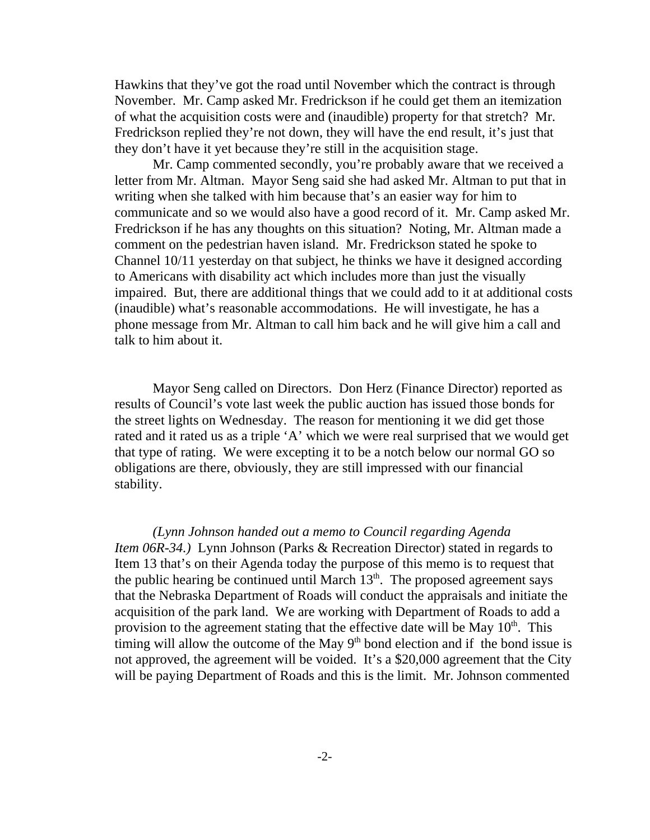Hawkins that they've got the road until November which the contract is through November. Mr. Camp asked Mr. Fredrickson if he could get them an itemization of what the acquisition costs were and (inaudible) property for that stretch? Mr. Fredrickson replied they're not down, they will have the end result, it's just that they don't have it yet because they're still in the acquisition stage.

Mr. Camp commented secondly, you're probably aware that we received a letter from Mr. Altman. Mayor Seng said she had asked Mr. Altman to put that in writing when she talked with him because that's an easier way for him to communicate and so we would also have a good record of it. Mr. Camp asked Mr. Fredrickson if he has any thoughts on this situation? Noting, Mr. Altman made a comment on the pedestrian haven island. Mr. Fredrickson stated he spoke to Channel 10/11 yesterday on that subject, he thinks we have it designed according to Americans with disability act which includes more than just the visually impaired. But, there are additional things that we could add to it at additional costs (inaudible) what's reasonable accommodations. He will investigate, he has a phone message from Mr. Altman to call him back and he will give him a call and talk to him about it.

Mayor Seng called on Directors. Don Herz (Finance Director) reported as results of Council's vote last week the public auction has issued those bonds for the street lights on Wednesday. The reason for mentioning it we did get those rated and it rated us as a triple 'A' which we were real surprised that we would get that type of rating. We were excepting it to be a notch below our normal GO so obligations are there, obviously, they are still impressed with our financial stability.

*(Lynn Johnson handed out a memo to Council regarding Agenda Item 06R-34.)* Lynn Johnson (Parks & Recreation Director) stated in regards to Item 13 that's on their Agenda today the purpose of this memo is to request that the public hearing be continued until March  $13<sup>th</sup>$ . The proposed agreement says that the Nebraska Department of Roads will conduct the appraisals and initiate the acquisition of the park land. We are working with Department of Roads to add a provision to the agreement stating that the effective date will be May  $10<sup>th</sup>$ . This timing will allow the outcome of the May  $9<sup>th</sup>$  bond election and if the bond issue is not approved, the agreement will be voided. It's a \$20,000 agreement that the City will be paying Department of Roads and this is the limit. Mr. Johnson commented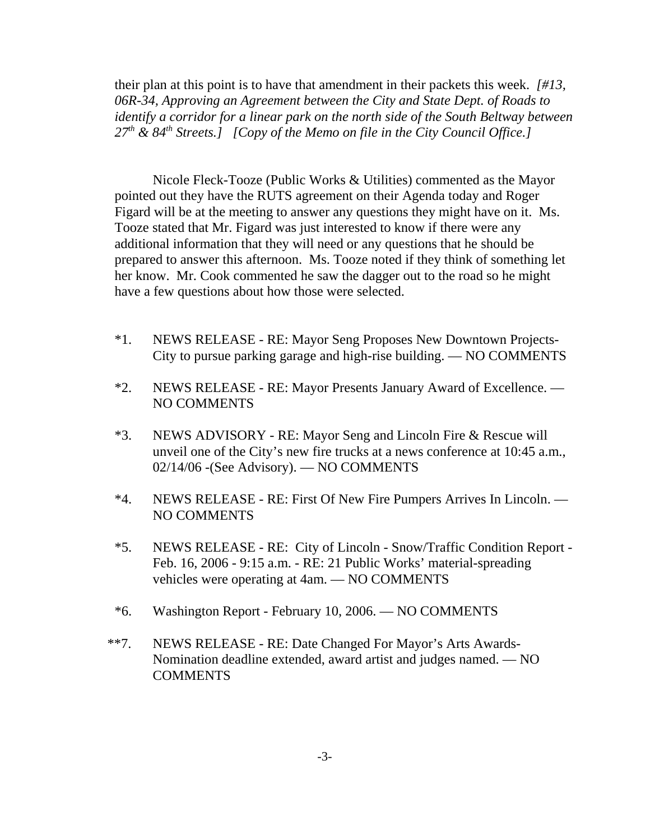their plan at this point is to have that amendment in their packets this week. *[#13, 06R-34, Approving an Agreement between the City and State Dept. of Roads to identify a corridor for a linear park on the north side of the South Beltway between 27th & 84th Streets.] [Copy of the Memo on file in the City Council Office.]* 

Nicole Fleck-Tooze (Public Works & Utilities) commented as the Mayor pointed out they have the RUTS agreement on their Agenda today and Roger Figard will be at the meeting to answer any questions they might have on it. Ms. Tooze stated that Mr. Figard was just interested to know if there were any additional information that they will need or any questions that he should be prepared to answer this afternoon. Ms. Tooze noted if they think of something let her know. Mr. Cook commented he saw the dagger out to the road so he might have a few questions about how those were selected.

- \*1. NEWS RELEASE RE: Mayor Seng Proposes New Downtown Projects- City to pursue parking garage and high-rise building. — NO COMMENTS
- \*2. NEWS RELEASE RE: Mayor Presents January Award of Excellence. NO COMMENTS
- \*3. NEWS ADVISORY RE: Mayor Seng and Lincoln Fire & Rescue will unveil one of the City's new fire trucks at a news conference at 10:45 a.m., 02/14/06 -(See Advisory). — NO COMMENTS
- \*4. NEWS RELEASE RE: First Of New Fire Pumpers Arrives In Lincoln. NO COMMENTS
- \*5. NEWS RELEASE RE: City of Lincoln Snow/Traffic Condition Report Feb. 16, 2006 - 9:15 a.m. - RE: 21 Public Works' material-spreading vehicles were operating at 4am. — NO COMMENTS
- \*6. Washington Report February 10, 2006. NO COMMENTS
- \*\*7. NEWS RELEASE RE: Date Changed For Mayor's Arts Awards-Nomination deadline extended, award artist and judges named. — NO **COMMENTS**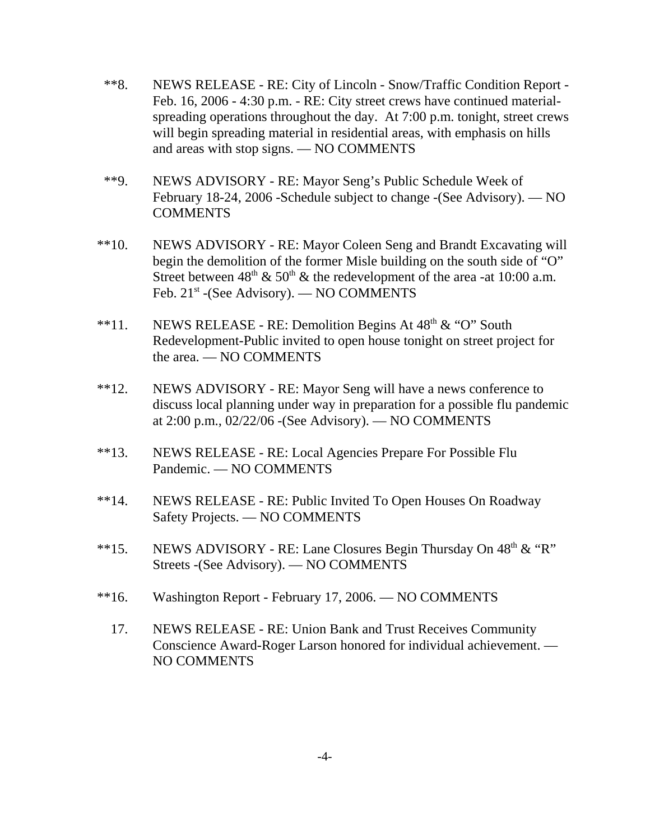- \*\*8. NEWS RELEASE RE: City of Lincoln Snow/Traffic Condition Report Feb. 16, 2006 - 4:30 p.m. - RE: City street crews have continued materialspreading operations throughout the day. At 7:00 p.m. tonight, street crews will begin spreading material in residential areas, with emphasis on hills and areas with stop signs. — NO COMMENTS
- \*\*9. NEWS ADVISORY RE: Mayor Seng's Public Schedule Week of February 18-24, 2006 -Schedule subject to change -(See Advisory). — NO COMMENTS
- \*\*10. NEWS ADVISORY RE: Mayor Coleen Seng and Brandt Excavating will begin the demolition of the former Misle building on the south side of "O" Street between  $48<sup>th</sup>$  &  $50<sup>th</sup>$  & the redevelopment of the area -at 10:00 a.m. Feb. 21<sup>st</sup> -(See Advisory). — NO COMMENTS
- \*\*11. NEWS RELEASE RE: Demolition Begins At  $48<sup>th</sup> \& ^{\circ}$  "O" South Redevelopment-Public invited to open house tonight on street project for the area. — NO COMMENTS
- \*\*12. NEWS ADVISORY RE: Mayor Seng will have a news conference to discuss local planning under way in preparation for a possible flu pandemic at 2:00 p.m., 02/22/06 -(See Advisory). — NO COMMENTS
- \*\*13. NEWS RELEASE RE: Local Agencies Prepare For Possible Flu Pandemic. — NO COMMENTS
- \*\*14. NEWS RELEASE RE: Public Invited To Open Houses On Roadway Safety Projects. — NO COMMENTS
- \*\*15. NEWS ADVISORY RE: Lane Closures Begin Thursday On  $48<sup>th</sup> \& ^{\circ}$ "R" Streets -(See Advisory). — NO COMMENTS
- \*\*16. Washington Report February 17, 2006. NO COMMENTS
	- 17. NEWS RELEASE RE: Union Bank and Trust Receives Community Conscience Award-Roger Larson honored for individual achievement. — NO COMMENTS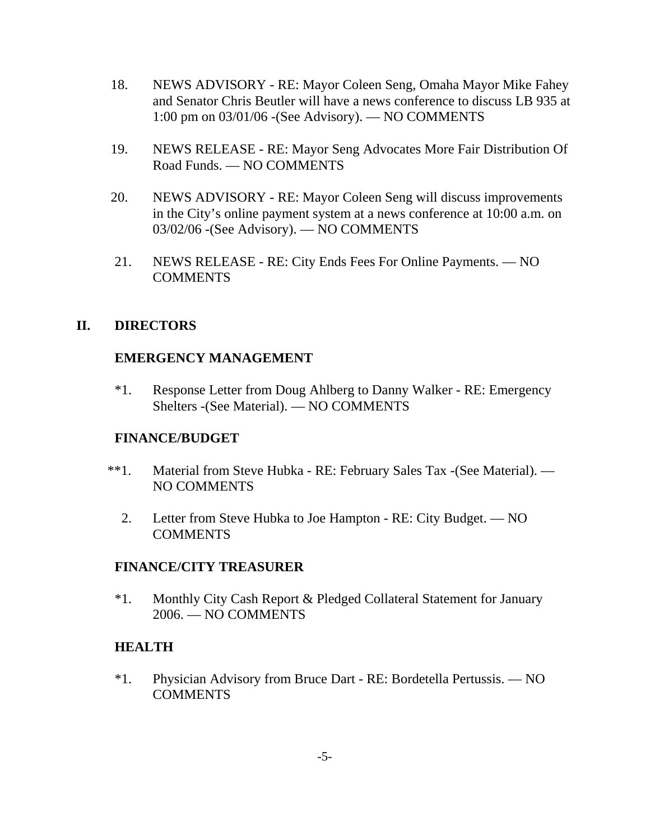- 18. NEWS ADVISORY RE: Mayor Coleen Seng, Omaha Mayor Mike Fahey and Senator Chris Beutler will have a news conference to discuss LB 935 at 1:00 pm on 03/01/06 -(See Advisory). — NO COMMENTS
- 19. NEWS RELEASE RE: Mayor Seng Advocates More Fair Distribution Of Road Funds. — NO COMMENTS
- 20. NEWS ADVISORY RE: Mayor Coleen Seng will discuss improvements in the City's online payment system at a news conference at 10:00 a.m. on 03/02/06 -(See Advisory). — NO COMMENTS
- 21. NEWS RELEASE RE: City Ends Fees For Online Payments. NO COMMENTS

# **II. DIRECTORS**

# **EMERGENCY MANAGEMENT**

\*1. Response Letter from Doug Ahlberg to Danny Walker - RE: Emergency Shelters -(See Material). — NO COMMENTS

# **FINANCE/BUDGET**

- \*\*1. Material from Steve Hubka RE: February Sales Tax -(See Material). NO COMMENTS
	- 2. Letter from Steve Hubka to Joe Hampton RE: City Budget. NO COMMENTS

### **FINANCE/CITY TREASURER**

\*1. Monthly City Cash Report & Pledged Collateral Statement for January 2006. — NO COMMENTS

# **HEALTH**

\*1. Physician Advisory from Bruce Dart - RE: Bordetella Pertussis. — NO **COMMENTS**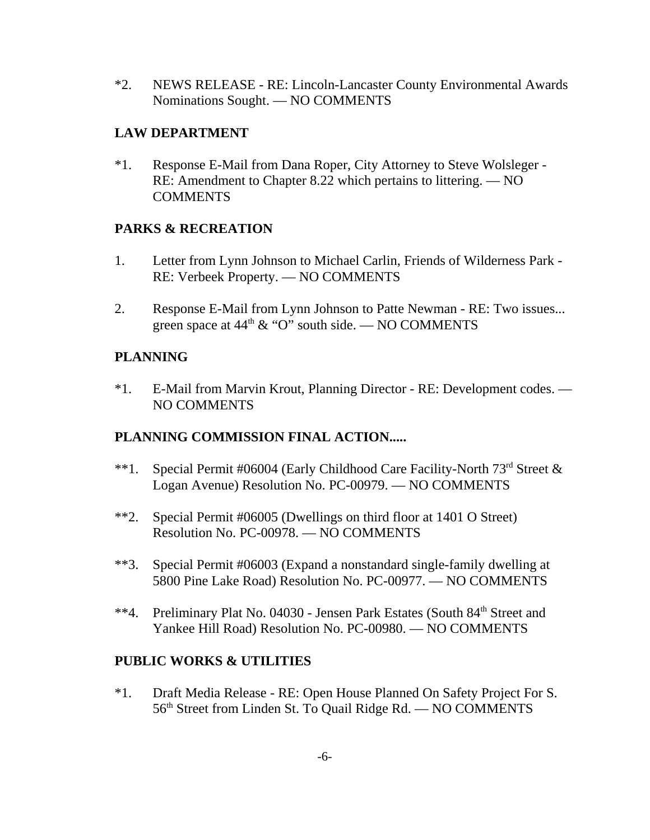\*2. NEWS RELEASE - RE: Lincoln-Lancaster County Environmental Awards Nominations Sought. — NO COMMENTS

# **LAW DEPARTMENT**

\*1. Response E-Mail from Dana Roper, City Attorney to Steve Wolsleger - RE: Amendment to Chapter 8.22 which pertains to littering. — NO COMMENTS

# **PARKS & RECREATION**

- 1. Letter from Lynn Johnson to Michael Carlin, Friends of Wilderness Park RE: Verbeek Property. — NO COMMENTS
- 2. Response E-Mail from Lynn Johnson to Patte Newman RE: Two issues... green space at  $44<sup>th</sup>$  & "O" south side. — NO COMMENTS

# **PLANNING**

\*1. E-Mail from Marvin Krout, Planning Director - RE: Development codes. — NO COMMENTS

# **PLANNING COMMISSION FINAL ACTION.....**

- \*\*1. Special Permit #06004 (Early Childhood Care Facility-North  $73<sup>rd</sup>$  Street & Logan Avenue) Resolution No. PC-00979. — NO COMMENTS
- \*\*2. Special Permit #06005 (Dwellings on third floor at 1401 O Street) Resolution No. PC-00978. — NO COMMENTS
- \*\*3. Special Permit #06003 (Expand a nonstandard single-family dwelling at 5800 Pine Lake Road) Resolution No. PC-00977. — NO COMMENTS
- \*\*4. Preliminary Plat No. 04030 Jensen Park Estates (South 84<sup>th</sup> Street and Yankee Hill Road) Resolution No. PC-00980. — NO COMMENTS

# **PUBLIC WORKS & UTILITIES**

\*1. Draft Media Release - RE: Open House Planned On Safety Project For S. 56<sup>th</sup> Street from Linden St. To Quail Ridge Rd. — NO COMMENTS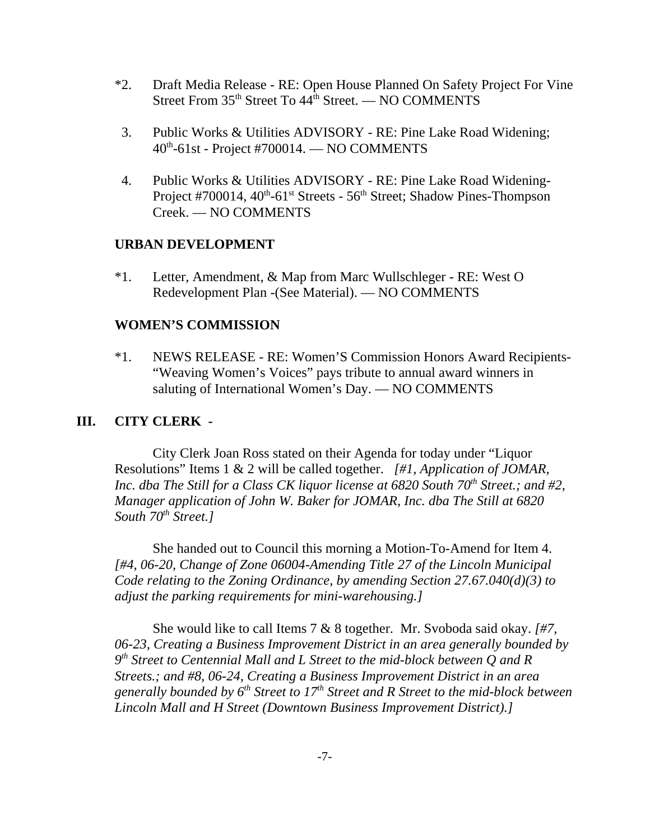- \*2. Draft Media Release RE: Open House Planned On Safety Project For Vine Street From  $35<sup>th</sup>$  Street To  $44<sup>th</sup>$  Street. — NO COMMENTS
- 3. Public Works & Utilities ADVISORY RE: Pine Lake Road Widening;  $40<sup>th</sup>$ -61st - Project #700014. — NO COMMENTS
- 4. Public Works & Utilities ADVISORY RE: Pine Lake Road Widening-Project #700014, 40<sup>th</sup>-61<sup>st</sup> Streets - 56<sup>th</sup> Street; Shadow Pines-Thompson Creek. — NO COMMENTS

#### **URBAN DEVELOPMENT**

\*1. Letter, Amendment, & Map from Marc Wullschleger - RE: West O Redevelopment Plan -(See Material). — NO COMMENTS

### **WOMEN'S COMMISSION**

\*1. NEWS RELEASE - RE: Women'S Commission Honors Award Recipients- "Weaving Women's Voices" pays tribute to annual award winners in saluting of International Women's Day. — NO COMMENTS

### **III. CITY CLERK -**

City Clerk Joan Ross stated on their Agenda for today under "Liquor Resolutions" Items 1 & 2 will be called together. *[#1, Application of JOMAR, Inc. dba The Still for a Class CK liquor license at 6820 South 70<sup>th</sup> Street.; and #2, Manager application of John W. Baker for JOMAR, Inc. dba The Still at 6820 South 70th Street.]* 

She handed out to Council this morning a Motion-To-Amend for Item 4. *[#4, 06-20, Change of Zone 06004-Amending Title 27 of the Lincoln Municipal Code relating to the Zoning Ordinance, by amending Section 27.67.040(d)(3) to adjust the parking requirements for mini-warehousing.]* 

She would like to call Items 7 & 8 together. Mr. Svoboda said okay. *[#7, 06-23, Creating a Business Improvement District in an area generally bounded by 9th Street to Centennial Mall and L Street to the mid-block between Q and R Streets.; and #8, 06-24, Creating a Business Improvement District in an area generally bounded by 6th Street to 17th Street and R Street to the mid-block between Lincoln Mall and H Street (Downtown Business Improvement District).]*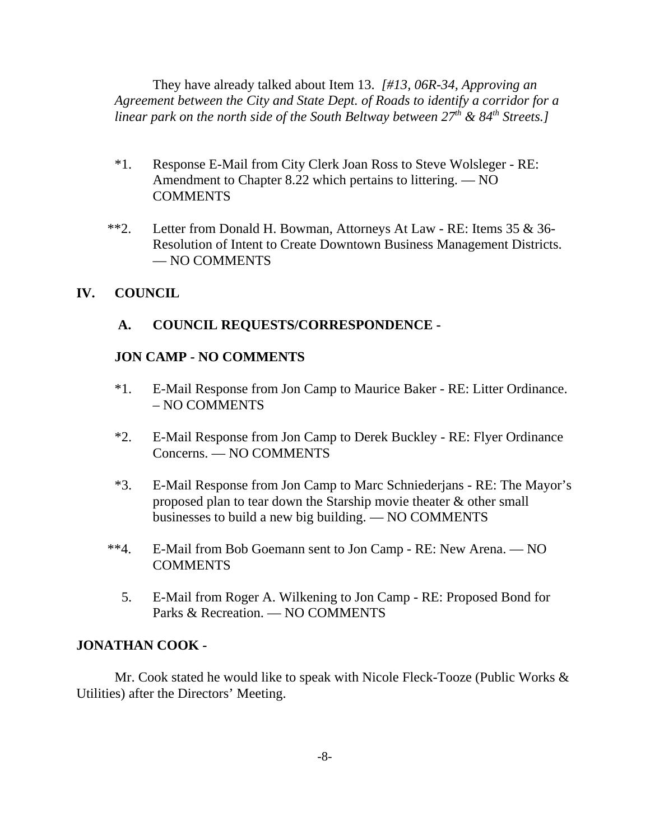They have already talked about Item 13. *[#13, 06R-34, Approving an Agreement between the City and State Dept. of Roads to identify a corridor for a linear park on the north side of the South Beltway between 27<sup>th</sup> & 84<sup>th</sup> Streets.]* 

- \*1. Response E-Mail from City Clerk Joan Ross to Steve Wolsleger RE: Amendment to Chapter 8.22 which pertains to littering. — NO COMMENTS
- \*\*2. Letter from Donald H. Bowman, Attorneys At Law RE: Items 35 & 36- Resolution of Intent to Create Downtown Business Management Districts. — NO COMMENTS

# **IV. COUNCIL**

 **A. COUNCIL REQUESTS/CORRESPONDENCE -** 

# **JON CAMP - NO COMMENTS**

- \*1. E-Mail Response from Jon Camp to Maurice Baker RE: Litter Ordinance. – NO COMMENTS
- \*2. E-Mail Response from Jon Camp to Derek Buckley RE: Flyer Ordinance Concerns. — NO COMMENTS
- \*3. E-Mail Response from Jon Camp to Marc Schniederjans RE: The Mayor's proposed plan to tear down the Starship movie theater & other small businesses to build a new big building. — NO COMMENTS
- \*\*4. E-Mail from Bob Goemann sent to Jon Camp RE: New Arena. NO **COMMENTS** 
	- 5. E-Mail from Roger A. Wilkening to Jon Camp RE: Proposed Bond for Parks & Recreation. — NO COMMENTS

# **JONATHAN COOK -**

Mr. Cook stated he would like to speak with Nicole Fleck-Tooze (Public Works  $\&$ Utilities) after the Directors' Meeting.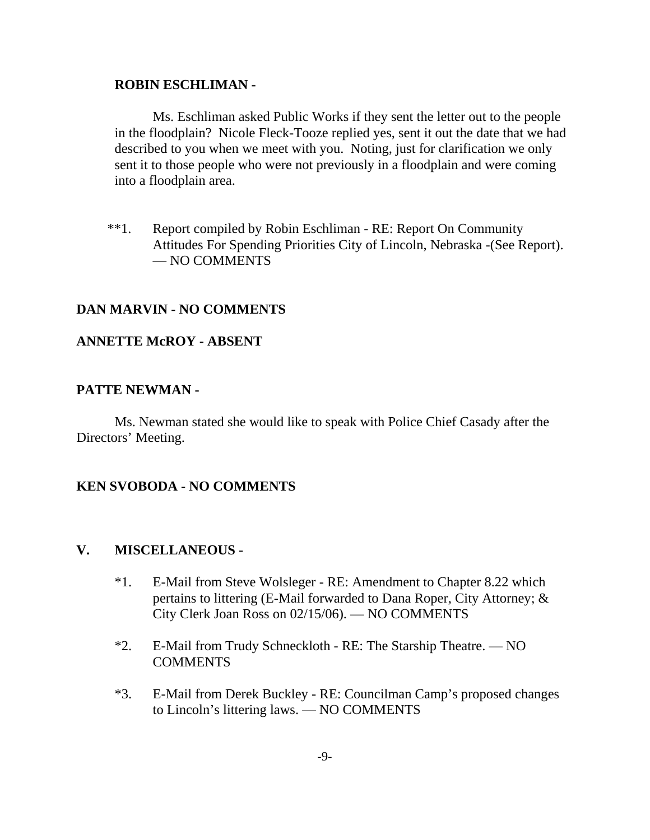#### **ROBIN ESCHLIMAN -**

Ms. Eschliman asked Public Works if they sent the letter out to the people in the floodplain? Nicole Fleck-Tooze replied yes, sent it out the date that we had described to you when we meet with you. Noting, just for clarification we only sent it to those people who were not previously in a floodplain and were coming into a floodplain area.

\*\*1. Report compiled by Robin Eschliman - RE: Report On Community Attitudes For Spending Priorities City of Lincoln, Nebraska -(See Report). — NO COMMENTS

#### **DAN MARVIN - NO COMMENTS**

#### **ANNETTE McROY - ABSENT**

#### **PATTE NEWMAN -**

Ms. Newman stated she would like to speak with Police Chief Casady after the Directors' Meeting.

### **KEN SVOBODA** - **NO COMMENTS**

#### **V. MISCELLANEOUS** -

- \*1. E-Mail from Steve Wolsleger RE: Amendment to Chapter 8.22 which pertains to littering (E-Mail forwarded to Dana Roper, City Attorney; & City Clerk Joan Ross on 02/15/06). — NO COMMENTS
- \*2. E-Mail from Trudy Schneckloth RE: The Starship Theatre. NO **COMMENTS**
- \*3. E-Mail from Derek Buckley RE: Councilman Camp's proposed changes to Lincoln's littering laws. — NO COMMENTS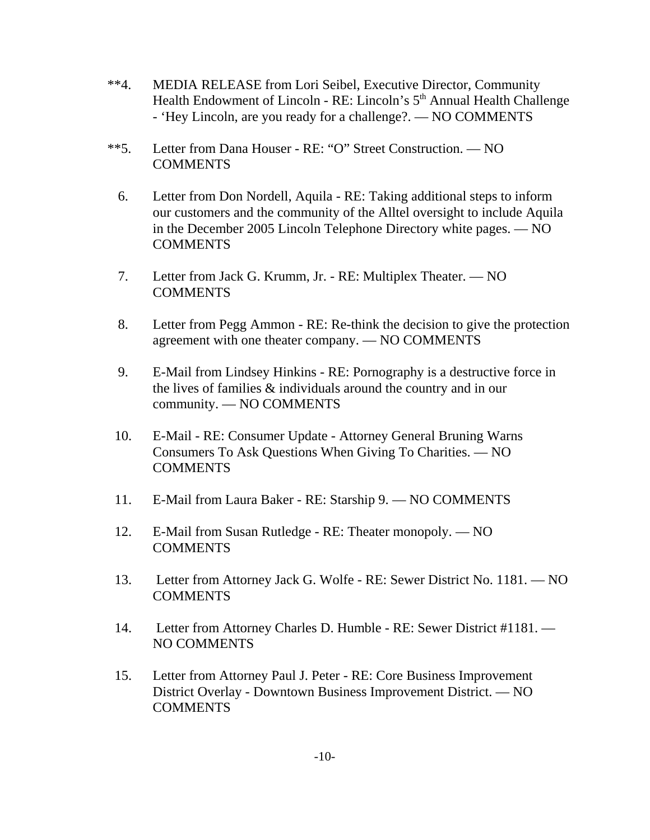- \*\*4. MEDIA RELEASE from Lori Seibel, Executive Director, Community Health Endowment of Lincoln - RE: Lincoln's 5<sup>th</sup> Annual Health Challenge - 'Hey Lincoln, are you ready for a challenge?. — NO COMMENTS
- \*\*5. Letter from Dana Houser RE: "O" Street Construction. NO COMMENTS
	- 6. Letter from Don Nordell, Aquila RE: Taking additional steps to inform our customers and the community of the Alltel oversight to include Aquila in the December 2005 Lincoln Telephone Directory white pages. — NO **COMMENTS**
	- 7. Letter from Jack G. Krumm, Jr. RE: Multiplex Theater. NO **COMMENTS**
	- 8. Letter from Pegg Ammon RE: Re-think the decision to give the protection agreement with one theater company. — NO COMMENTS
	- 9. E-Mail from Lindsey Hinkins RE: Pornography is a destructive force in the lives of families & individuals around the country and in our community. — NO COMMENTS
	- 10. E-Mail RE: Consumer Update Attorney General Bruning Warns Consumers To Ask Questions When Giving To Charities. — NO **COMMENTS**
	- 11. E-Mail from Laura Baker RE: Starship 9. NO COMMENTS
	- 12. E-Mail from Susan Rutledge RE: Theater monopoly. NO COMMENTS
	- 13. Letter from Attorney Jack G. Wolfe RE: Sewer District No. 1181. NO COMMENTS
	- 14. Letter from Attorney Charles D. Humble RE: Sewer District #1181. NO COMMENTS
	- 15. Letter from Attorney Paul J. Peter RE: Core Business Improvement District Overlay - Downtown Business Improvement District. — NO COMMENTS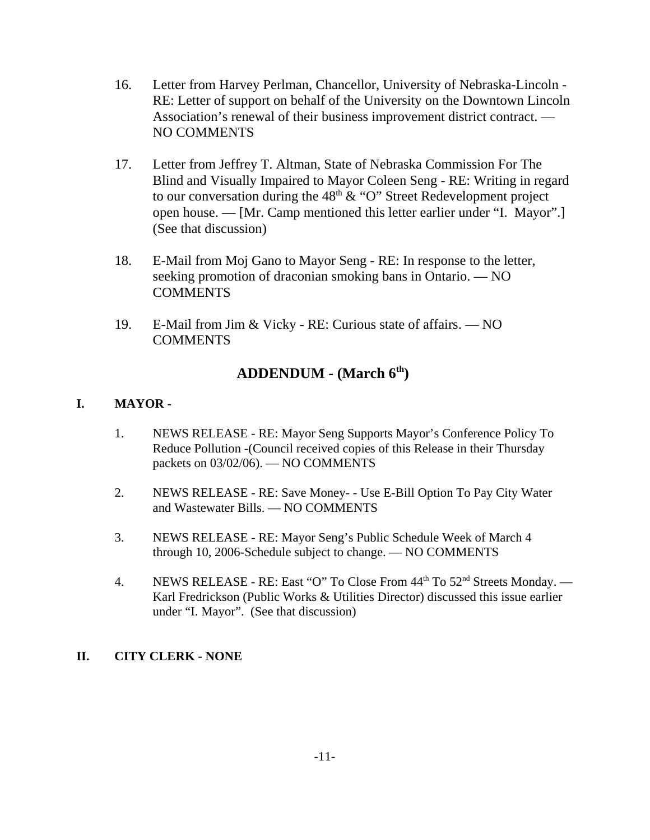- 16. Letter from Harvey Perlman, Chancellor, University of Nebraska-Lincoln RE: Letter of support on behalf of the University on the Downtown Lincoln Association's renewal of their business improvement district contract. — NO COMMENTS
- 17. Letter from Jeffrey T. Altman, State of Nebraska Commission For The Blind and Visually Impaired to Mayor Coleen Seng - RE: Writing in regard to our conversation during the  $48<sup>th</sup>$  & "O" Street Redevelopment project open house. — [Mr. Camp mentioned this letter earlier under "I. Mayor".] (See that discussion)
- 18. E-Mail from Moj Gano to Mayor Seng RE: In response to the letter, seeking promotion of draconian smoking bans in Ontario. — NO **COMMENTS**
- 19. E-Mail from Jim & Vicky RE: Curious state of affairs. NO COMMENTS

# **ADDENDUM - (March 6th)**

#### **I. MAYOR -**

- 1. NEWS RELEASE RE: Mayor Seng Supports Mayor's Conference Policy To Reduce Pollution -(Council received copies of this Release in their Thursday packets on 03/02/06). — NO COMMENTS
- 2. NEWS RELEASE RE: Save Money- Use E-Bill Option To Pay City Water and Wastewater Bills. — NO COMMENTS
- 3. NEWS RELEASE RE: Mayor Seng's Public Schedule Week of March 4 through 10, 2006-Schedule subject to change. — NO COMMENTS
- 4. NEWS RELEASE RE: East "O" To Close From  $44<sup>th</sup>$  To  $52<sup>nd</sup>$  Streets Monday. Karl Fredrickson (Public Works & Utilities Director) discussed this issue earlier under "I. Mayor". (See that discussion)

#### **II. CITY CLERK - NONE**